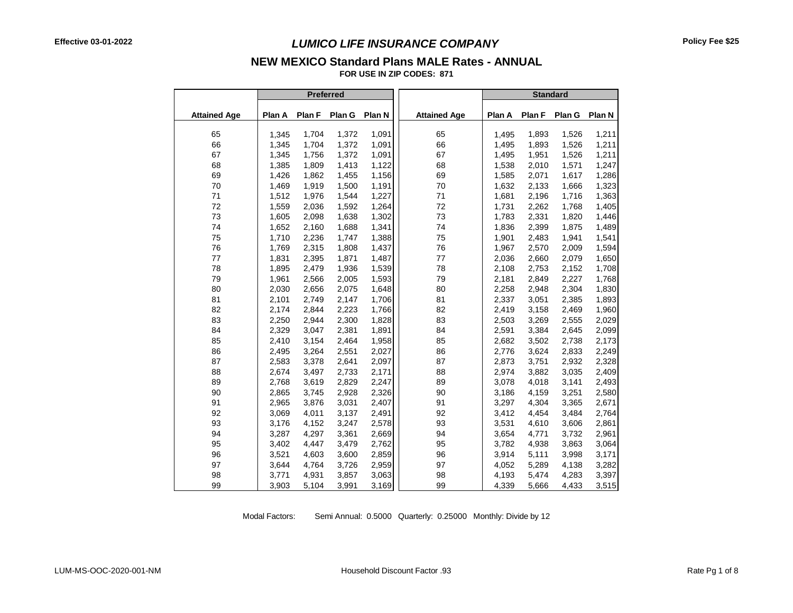## **NEW MEXICO Standard Plans MALE Rates - ANNUAL**

**FOR USE IN ZIP CODES: 871**

|                     |        |        | Preferred |        |                     | <b>Standard</b> |        |        |        |
|---------------------|--------|--------|-----------|--------|---------------------|-----------------|--------|--------|--------|
| <b>Attained Age</b> | Plan A | Plan F | Plan G    | Plan N | <b>Attained Age</b> | Plan A          | Plan F | Plan G | Plan N |
| 65                  | 1,345  | 1,704  | 1,372     | 1,091  | 65                  | 1,495           | 1,893  | 1,526  | 1,211  |
| 66                  | 1,345  | 1,704  | 1,372     | 1,091  | 66                  | 1,495           | 1,893  | 1,526  | 1,211  |
| 67                  | 1,345  | 1,756  | 1,372     | 1,091  | 67                  | 1,495           | 1,951  | 1,526  | 1,211  |
| 68                  | 1,385  | 1,809  | 1,413     | 1,122  | 68                  | 1,538           | 2,010  | 1,571  | 1,247  |
| 69                  | 1,426  | 1,862  | 1,455     | 1,156  | 69                  | 1,585           | 2,071  | 1,617  | 1,286  |
| 70                  | 1,469  | 1,919  | 1,500     | 1,191  | 70                  | 1,632           | 2,133  | 1,666  | 1,323  |
| 71                  | 1,512  | 1,976  | 1,544     | 1,227  | 71                  | 1,681           | 2,196  | 1,716  | 1,363  |
| 72                  | 1,559  | 2,036  | 1,592     | 1,264  | 72                  | 1,731           | 2,262  | 1,768  | 1,405  |
| 73                  | 1,605  | 2,098  | 1,638     | 1,302  | 73                  | 1,783           | 2,331  | 1,820  | 1,446  |
| 74                  | 1,652  | 2,160  | 1,688     | 1,341  | 74                  | 1,836           | 2,399  | 1,875  | 1,489  |
| 75                  | 1,710  | 2,236  | 1,747     | 1,388  | 75                  | 1,901           | 2,483  | 1,941  | 1,541  |
| 76                  | 1,769  | 2,315  | 1,808     | 1,437  | 76                  | 1,967           | 2,570  | 2,009  | 1,594  |
| 77                  | 1,831  | 2,395  | 1,871     | 1,487  | 77                  | 2,036           | 2,660  | 2,079  | 1,650  |
| 78                  | 1,895  | 2,479  | 1,936     | 1,539  | 78                  | 2,108           | 2,753  | 2,152  | 1,708  |
| 79                  | 1,961  | 2,566  | 2,005     | 1,593  | 79                  | 2,181           | 2,849  | 2,227  | 1,768  |
| 80                  | 2,030  | 2,656  | 2,075     | 1,648  | 80                  | 2,258           | 2,948  | 2,304  | 1,830  |
| 81                  | 2,101  | 2,749  | 2,147     | 1,706  | 81                  | 2,337           | 3,051  | 2,385  | 1,893  |
| 82                  | 2,174  | 2,844  | 2,223     | 1,766  | 82                  | 2,419           | 3,158  | 2,469  | 1,960  |
| 83                  | 2,250  | 2,944  | 2,300     | 1,828  | 83                  | 2,503           | 3,269  | 2,555  | 2,029  |
| 84                  | 2,329  | 3,047  | 2,381     | 1,891  | 84                  | 2,591           | 3,384  | 2,645  | 2,099  |
| 85                  | 2,410  | 3,154  | 2,464     | 1,958  | 85                  | 2,682           | 3,502  | 2,738  | 2,173  |
| 86                  | 2,495  | 3,264  | 2,551     | 2,027  | 86                  | 2,776           | 3,624  | 2,833  | 2,249  |
| 87                  | 2,583  | 3,378  | 2,641     | 2,097  | 87                  | 2,873           | 3,751  | 2,932  | 2,328  |
| 88                  | 2,674  | 3,497  | 2,733     | 2,171  | 88                  | 2,974           | 3,882  | 3,035  | 2,409  |
| 89                  | 2,768  | 3,619  | 2,829     | 2,247  | 89                  | 3,078           | 4,018  | 3,141  | 2,493  |
| 90                  | 2,865  | 3,745  | 2,928     | 2,326  | 90                  | 3,186           | 4,159  | 3,251  | 2,580  |
| 91                  | 2,965  | 3,876  | 3,031     | 2,407  | 91                  | 3,297           | 4,304  | 3,365  | 2,671  |
| 92                  | 3,069  | 4,011  | 3,137     | 2,491  | 92                  | 3,412           | 4,454  | 3,484  | 2,764  |
| 93                  | 3,176  | 4,152  | 3,247     | 2,578  | 93                  | 3,531           | 4,610  | 3,606  | 2,861  |
| 94                  | 3,287  | 4,297  | 3,361     | 2,669  | 94                  | 3,654           | 4,771  | 3,732  | 2,961  |
| 95                  | 3,402  | 4,447  | 3,479     | 2,762  | 95                  | 3,782           | 4,938  | 3,863  | 3,064  |
| 96                  | 3,521  | 4,603  | 3,600     | 2,859  | 96                  | 3,914           | 5,111  | 3,998  | 3,171  |
| 97                  | 3,644  | 4,764  | 3,726     | 2,959  | 97                  | 4,052           | 5,289  | 4,138  | 3,282  |
| 98                  | 3,771  | 4,931  | 3,857     | 3,063  | 98                  | 4,193           | 5,474  | 4,283  | 3,397  |
| 99                  | 3,903  | 5,104  | 3,991     | 3,169  | 99                  | 4,339           | 5,666  | 4,433  | 3,515  |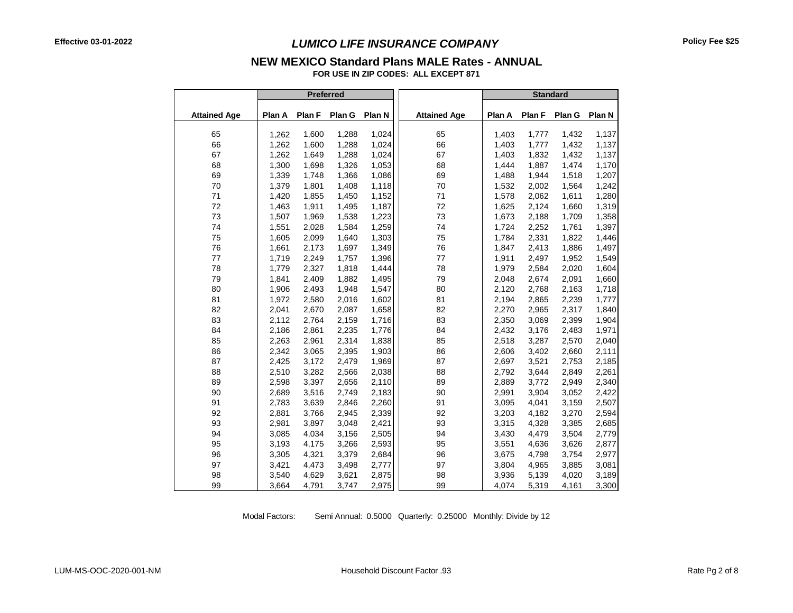#### **NEW MEXICO Standard Plans MALE Rates - ANNUAL**

**FOR USE IN ZIP CODES: ALL EXCEPT 871**

|                     |        | <b>Preferred</b> |        |        |                     | <b>Standard</b> |        |        |        |
|---------------------|--------|------------------|--------|--------|---------------------|-----------------|--------|--------|--------|
| <b>Attained Age</b> | Plan A | Plan F           | Plan G | Plan N | <b>Attained Age</b> | Plan A          | Plan F | Plan G | Plan N |
| 65                  | 1,262  | 1,600            | 1,288  | 1,024  | 65                  | 1,403           | 1,777  | 1,432  | 1,137  |
| 66                  | 1,262  | 1,600            | 1,288  | 1,024  | 66                  | 1,403           | 1,777  | 1,432  | 1,137  |
| 67                  | 1,262  | 1,649            | 1,288  | 1,024  | 67                  | 1,403           | 1,832  | 1,432  | 1,137  |
| 68                  | 1,300  | 1,698            | 1,326  | 1,053  | 68                  | 1,444           | 1,887  | 1,474  | 1,170  |
| 69                  | 1,339  | 1,748            | 1,366  | 1,086  | 69                  | 1,488           | 1,944  | 1,518  | 1,207  |
| 70                  | 1,379  | 1,801            | 1,408  | 1,118  | 70                  | 1,532           | 2,002  | 1,564  | 1,242  |
| 71                  | 1,420  | 1,855            | 1,450  | 1,152  | 71                  | 1,578           | 2,062  | 1,611  | 1,280  |
| 72                  | 1,463  | 1,911            | 1,495  | 1,187  | 72                  | 1,625           | 2,124  | 1,660  | 1,319  |
| 73                  | 1,507  | 1,969            | 1,538  | 1,223  | 73                  | 1,673           | 2,188  | 1,709  | 1,358  |
| 74                  | 1,551  | 2,028            | 1,584  | 1,259  | 74                  | 1,724           | 2,252  | 1,761  | 1,397  |
| 75                  | 1,605  | 2,099            | 1.640  | 1,303  | 75                  | 1,784           | 2,331  | 1,822  | 1,446  |
| 76                  | 1,661  | 2,173            | 1,697  | 1,349  | 76                  | 1,847           | 2,413  | 1,886  | 1,497  |
| 77                  | 1,719  | 2,249            | 1,757  | 1,396  | 77                  | 1,911           | 2,497  | 1,952  | 1,549  |
| 78                  | 1,779  | 2,327            | 1,818  | 1,444  | 78                  | 1,979           | 2,584  | 2,020  | 1,604  |
| 79                  | 1,841  | 2,409            | 1,882  | 1,495  | 79                  | 2,048           | 2,674  | 2,091  | 1,660  |
| 80                  | 1,906  | 2,493            | 1,948  | 1,547  | 80                  | 2,120           | 2,768  | 2,163  | 1,718  |
| 81                  | 1,972  | 2,580            | 2,016  | 1,602  | 81                  | 2,194           | 2,865  | 2,239  | 1,777  |
| 82                  | 2,041  | 2,670            | 2,087  | 1,658  | 82                  | 2,270           | 2,965  | 2,317  | 1,840  |
| 83                  | 2,112  | 2,764            | 2,159  | 1,716  | 83                  | 2,350           | 3,069  | 2,399  | 1,904  |
| 84                  | 2,186  | 2,861            | 2,235  | 1,776  | 84                  | 2,432           | 3,176  | 2,483  | 1,971  |
| 85                  | 2,263  | 2,961            | 2,314  | 1,838  | 85                  | 2,518           | 3,287  | 2,570  | 2,040  |
| 86                  | 2,342  | 3,065            | 2,395  | 1,903  | 86                  | 2,606           | 3,402  | 2,660  | 2,111  |
| 87                  | 2,425  | 3,172            | 2,479  | 1,969  | 87                  | 2,697           | 3,521  | 2,753  | 2,185  |
| 88                  | 2,510  | 3,282            | 2,566  | 2,038  | 88                  | 2,792           | 3,644  | 2,849  | 2,261  |
| 89                  | 2,598  | 3,397            | 2,656  | 2,110  | 89                  | 2,889           | 3,772  | 2,949  | 2,340  |
| 90                  | 2,689  | 3,516            | 2,749  | 2,183  | 90                  | 2,991           | 3,904  | 3,052  | 2,422  |
| 91                  | 2,783  | 3,639            | 2,846  | 2,260  | 91                  | 3,095           | 4,041  | 3,159  | 2,507  |
| 92                  | 2,881  | 3,766            | 2,945  | 2,339  | 92                  | 3,203           | 4,182  | 3,270  | 2,594  |
| 93                  | 2,981  | 3,897            | 3,048  | 2,421  | 93                  | 3,315           | 4,328  | 3,385  | 2,685  |
| 94                  | 3,085  | 4,034            | 3,156  | 2,505  | 94                  | 3,430           | 4,479  | 3,504  | 2,779  |
| 95                  | 3,193  | 4,175            | 3,266  | 2,593  | 95                  | 3,551           | 4,636  | 3,626  | 2,877  |
| 96                  | 3,305  | 4,321            | 3,379  | 2,684  | 96                  | 3,675           | 4,798  | 3,754  | 2,977  |
| 97                  | 3,421  | 4,473            | 3,498  | 2,777  | 97                  | 3,804           | 4,965  | 3,885  | 3,081  |
| 98                  | 3,540  | 4,629            | 3,621  | 2,875  | 98                  | 3,936           | 5,139  | 4,020  | 3,189  |
| 99                  | 3,664  | 4,791            | 3,747  | 2,975  | 99                  | 4,074           | 5,319  | 4,161  | 3,300  |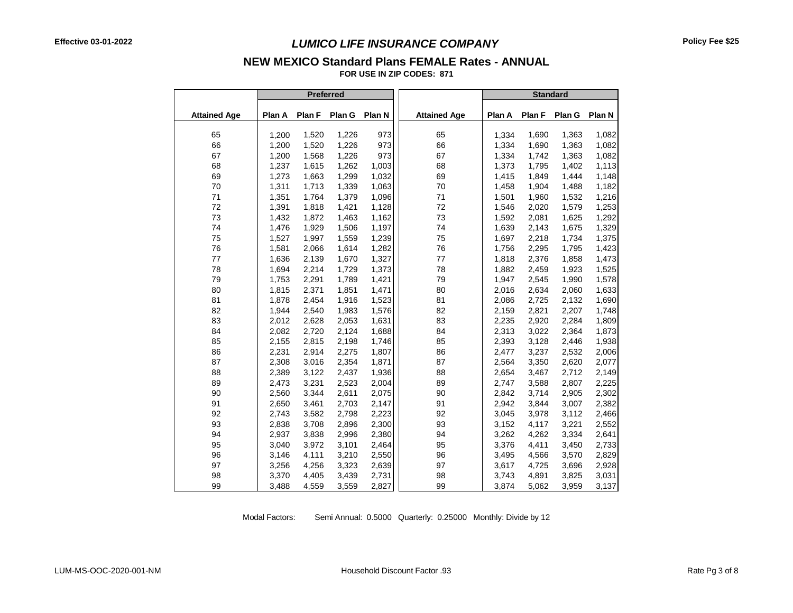# **NEW MEXICO Standard Plans FEMALE Rates - ANNUAL**

**FOR USE IN ZIP CODES: 871**

|                     |        |        | Preferred |        |                     | <b>Standard</b> |        |        |        |
|---------------------|--------|--------|-----------|--------|---------------------|-----------------|--------|--------|--------|
| <b>Attained Age</b> | Plan A | Plan F | Plan G    | Plan N | <b>Attained Age</b> | Plan A          | Plan F | Plan G | Plan N |
|                     |        |        |           |        |                     |                 |        |        |        |
| 65                  | 1,200  | 1,520  | 1,226     | 973    | 65                  | 1,334           | 1,690  | 1,363  | 1,082  |
| 66                  | 1,200  | 1,520  | 1,226     | 973    | 66                  | 1,334           | 1,690  | 1,363  | 1,082  |
| 67                  | 1,200  | 1,568  | 1,226     | 973    | 67                  | 1,334           | 1,742  | 1,363  | 1,082  |
| 68                  | 1,237  | 1,615  | 1,262     | 1,003  | 68                  | 1,373           | 1,795  | 1,402  | 1,113  |
| 69                  | 1,273  | 1,663  | 1,299     | 1,032  | 69                  | 1,415           | 1,849  | 1,444  | 1,148  |
| 70                  | 1,311  | 1,713  | 1,339     | 1,063  | 70                  | 1,458           | 1,904  | 1,488  | 1,182  |
| 71                  | 1,351  | 1,764  | 1,379     | 1,096  | 71                  | 1,501           | 1,960  | 1,532  | 1,216  |
| 72                  | 1,391  | 1,818  | 1,421     | 1,128  | 72                  | 1,546           | 2,020  | 1,579  | 1,253  |
| 73                  | 1,432  | 1,872  | 1,463     | 1,162  | 73                  | 1,592           | 2,081  | 1,625  | 1,292  |
| 74                  | 1,476  | 1,929  | 1,506     | 1,197  | 74                  | 1,639           | 2,143  | 1,675  | 1,329  |
| 75                  | 1,527  | 1,997  | 1,559     | 1,239  | 75                  | 1,697           | 2,218  | 1,734  | 1,375  |
| 76                  | 1,581  | 2,066  | 1,614     | 1,282  | 76                  | 1,756           | 2,295  | 1,795  | 1,423  |
| 77                  | 1,636  | 2,139  | 1,670     | 1,327  | 77                  | 1,818           | 2,376  | 1,858  | 1,473  |
| 78                  | 1,694  | 2,214  | 1,729     | 1,373  | 78                  | 1,882           | 2,459  | 1,923  | 1,525  |
| 79                  | 1,753  | 2,291  | 1,789     | 1,421  | 79                  | 1,947           | 2,545  | 1,990  | 1,578  |
| 80                  | 1,815  | 2,371  | 1,851     | 1,471  | 80                  | 2,016           | 2,634  | 2,060  | 1,633  |
| 81                  | 1,878  | 2,454  | 1,916     | 1,523  | 81                  | 2,086           | 2,725  | 2,132  | 1,690  |
| 82                  | 1,944  | 2,540  | 1,983     | 1,576  | 82                  | 2,159           | 2,821  | 2,207  | 1,748  |
| 83                  | 2,012  | 2,628  | 2,053     | 1,631  | 83                  | 2,235           | 2,920  | 2,284  | 1,809  |
| 84                  | 2,082  | 2,720  | 2,124     | 1,688  | 84                  | 2,313           | 3,022  | 2,364  | 1,873  |
| 85                  | 2,155  | 2,815  | 2,198     | 1,746  | 85                  | 2,393           | 3,128  | 2,446  | 1,938  |
| 86                  | 2,231  | 2,914  | 2,275     | 1,807  | 86                  | 2,477           | 3,237  | 2,532  | 2,006  |
| 87                  | 2,308  | 3,016  | 2,354     | 1,871  | 87                  | 2,564           | 3,350  | 2,620  | 2,077  |
| 88                  | 2,389  | 3,122  | 2,437     | 1,936  | 88                  | 2,654           | 3,467  | 2,712  | 2,149  |
| 89                  | 2,473  | 3,231  | 2,523     | 2,004  | 89                  | 2,747           | 3,588  | 2,807  | 2,225  |
| 90                  | 2,560  | 3,344  | 2,611     | 2,075  | 90                  | 2,842           | 3,714  | 2,905  | 2,302  |
| 91                  | 2,650  | 3,461  | 2,703     | 2,147  | 91                  | 2,942           | 3,844  | 3,007  | 2,382  |
| 92                  | 2,743  | 3,582  | 2,798     | 2,223  | 92                  | 3,045           | 3,978  | 3,112  | 2,466  |
| 93                  | 2,838  | 3,708  | 2,896     | 2,300  | 93                  | 3,152           | 4,117  | 3,221  | 2,552  |
| 94                  | 2,937  | 3,838  | 2,996     | 2,380  | 94                  | 3,262           | 4,262  | 3,334  | 2,641  |
| 95                  | 3,040  | 3,972  | 3,101     | 2,464  | 95                  | 3,376           | 4,411  | 3,450  | 2,733  |
| 96                  | 3,146  | 4,111  | 3,210     | 2,550  | 96                  | 3,495           | 4,566  | 3,570  | 2,829  |
| 97                  | 3,256  | 4,256  | 3,323     | 2,639  | 97                  | 3,617           | 4,725  | 3,696  | 2,928  |
| 98                  | 3,370  | 4,405  | 3,439     | 2,731  | 98                  | 3,743           | 4,891  | 3,825  | 3,031  |
| 99                  | 3,488  | 4,559  | 3,559     | 2,827  | 99                  | 3,874           | 5,062  | 3,959  | 3,137  |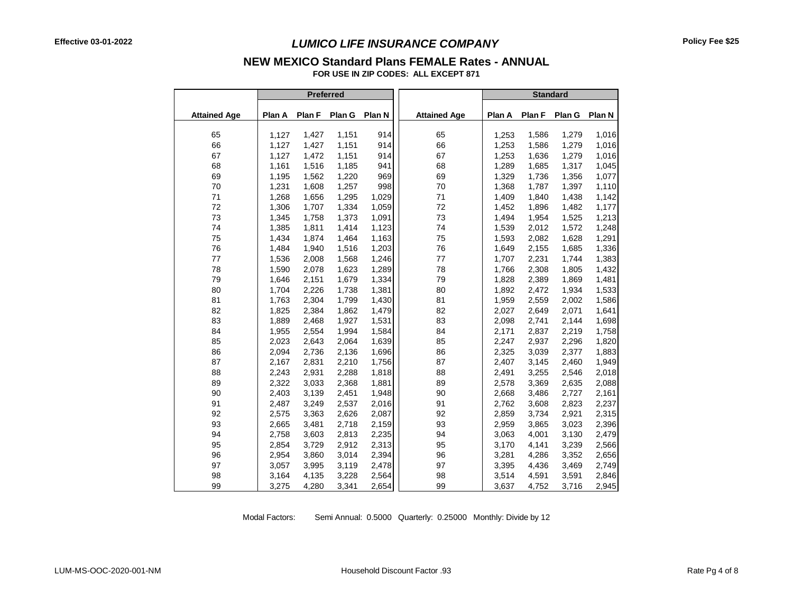### **NEW MEXICO Standard Plans FEMALE Rates - ANNUAL**

**FOR USE IN ZIP CODES: ALL EXCEPT 871**

|                     |        | <b>Preferred</b> |        |        |                     | <b>Standard</b> |        |        |        |  |
|---------------------|--------|------------------|--------|--------|---------------------|-----------------|--------|--------|--------|--|
| <b>Attained Age</b> | Plan A | Plan F           | Plan G | Plan N | <b>Attained Age</b> | Plan A          | Plan F | Plan G | Plan N |  |
|                     |        |                  |        |        |                     |                 |        |        |        |  |
| 65                  | 1,127  | 1,427            | 1,151  | 914    | 65                  | 1,253           | 1,586  | 1,279  | 1,016  |  |
| 66                  | 1,127  | 1,427            | 1,151  | 914    | 66                  | 1,253           | 1,586  | 1,279  | 1,016  |  |
| 67                  | 1,127  | 1,472            | 1,151  | 914    | 67                  | 1,253           | 1,636  | 1,279  | 1,016  |  |
| 68                  | 1,161  | 1,516            | 1,185  | 941    | 68                  | 1,289           | 1,685  | 1,317  | 1,045  |  |
| 69                  | 1,195  | 1,562            | 1,220  | 969    | 69                  | 1,329           | 1,736  | 1,356  | 1,077  |  |
| 70                  | 1,231  | 1,608            | 1,257  | 998    | 70                  | 1,368           | 1,787  | 1,397  | 1,110  |  |
| 71                  | 1,268  | 1,656            | 1,295  | 1,029  | 71                  | 1,409           | 1,840  | 1,438  | 1,142  |  |
| 72                  | 1,306  | 1,707            | 1,334  | 1,059  | 72                  | 1,452           | 1,896  | 1,482  | 1,177  |  |
| 73                  | 1,345  | 1,758            | 1,373  | 1,091  | 73                  | 1,494           | 1,954  | 1,525  | 1,213  |  |
| 74                  | 1,385  | 1,811            | 1,414  | 1,123  | 74                  | 1,539           | 2,012  | 1,572  | 1,248  |  |
| 75                  | 1,434  | 1,874            | 1,464  | 1,163  | 75                  | 1,593           | 2,082  | 1,628  | 1,291  |  |
| 76                  | 1,484  | 1,940            | 1,516  | 1,203  | 76                  | 1,649           | 2,155  | 1,685  | 1,336  |  |
| 77                  | 1,536  | 2,008            | 1,568  | 1,246  | 77                  | 1,707           | 2,231  | 1,744  | 1,383  |  |
| 78                  | 1,590  | 2,078            | 1,623  | 1,289  | 78                  | 1,766           | 2,308  | 1,805  | 1,432  |  |
| 79                  | 1,646  | 2,151            | 1,679  | 1,334  | 79                  | 1,828           | 2,389  | 1,869  | 1,481  |  |
| 80                  | 1,704  | 2,226            | 1,738  | 1,381  | 80                  | 1,892           | 2,472  | 1,934  | 1,533  |  |
| 81                  | 1,763  | 2,304            | 1,799  | 1,430  | 81                  | 1,959           | 2,559  | 2,002  | 1,586  |  |
| 82                  | 1,825  | 2,384            | 1,862  | 1,479  | 82                  | 2,027           | 2,649  | 2,071  | 1,641  |  |
| 83                  | 1,889  | 2,468            | 1,927  | 1,531  | 83                  | 2,098           | 2,741  | 2,144  | 1,698  |  |
| 84                  | 1,955  | 2,554            | 1,994  | 1,584  | 84                  | 2,171           | 2,837  | 2,219  | 1,758  |  |
| 85                  | 2,023  | 2,643            | 2,064  | 1,639  | 85                  | 2,247           | 2,937  | 2,296  | 1,820  |  |
| 86                  | 2,094  | 2,736            | 2,136  | 1,696  | 86                  | 2,325           | 3,039  | 2,377  | 1,883  |  |
| 87                  | 2,167  | 2,831            | 2,210  | 1,756  | 87                  | 2,407           | 3,145  | 2,460  | 1,949  |  |
| 88                  | 2,243  | 2,931            | 2,288  | 1,818  | 88                  | 2,491           | 3,255  | 2,546  | 2,018  |  |
| 89                  | 2,322  | 3,033            | 2,368  | 1,881  | 89                  | 2,578           | 3,369  | 2,635  | 2,088  |  |
| 90                  | 2,403  | 3,139            | 2,451  | 1,948  | 90                  | 2,668           | 3,486  | 2,727  | 2,161  |  |
| 91                  | 2,487  | 3,249            | 2,537  | 2,016  | 91                  | 2,762           | 3,608  | 2,823  | 2,237  |  |
| 92                  | 2,575  | 3,363            | 2,626  | 2,087  | 92                  | 2,859           | 3,734  | 2,921  | 2,315  |  |
| 93                  | 2,665  | 3,481            | 2,718  | 2,159  | 93                  | 2,959           | 3,865  | 3,023  | 2,396  |  |
| 94                  | 2,758  | 3,603            | 2,813  | 2,235  | 94                  | 3,063           | 4,001  | 3,130  | 2,479  |  |
| 95                  | 2,854  | 3,729            | 2,912  | 2,313  | 95                  | 3,170           | 4,141  | 3,239  | 2,566  |  |
| 96                  | 2,954  | 3,860            | 3,014  | 2,394  | 96                  | 3,281           | 4,286  | 3,352  | 2,656  |  |
| 97                  | 3,057  | 3,995            | 3,119  | 2,478  | 97                  | 3,395           | 4,436  | 3,469  | 2,749  |  |
| 98                  | 3,164  | 4,135            | 3,228  | 2,564  | 98                  | 3,514           | 4,591  | 3,591  | 2,846  |  |
| 99                  | 3,275  | 4,280            | 3,341  | 2,654  | 99                  | 3,637           | 4,752  | 3,716  | 2,945  |  |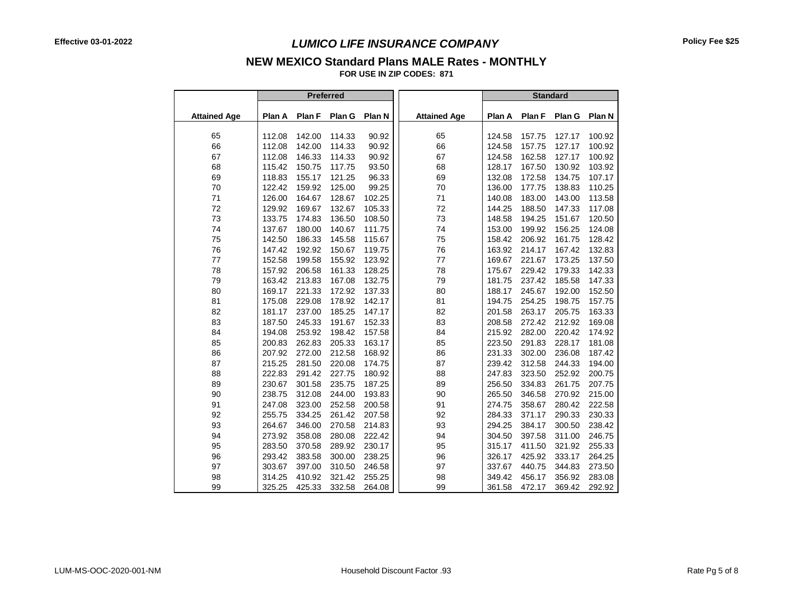## **NEW MEXICO Standard Plans MALE Rates - MONTHLY**

**FOR USE IN ZIP CODES: 871**

|                     |        | Preferred |        |        |                     | <b>Standard</b> |        |        |        |
|---------------------|--------|-----------|--------|--------|---------------------|-----------------|--------|--------|--------|
|                     |        |           |        |        |                     |                 |        |        |        |
| <b>Attained Age</b> | Plan A | Plan F    | Plan G | Plan N | <b>Attained Age</b> | Plan A          | Plan F | Plan G | Plan N |
|                     |        |           |        |        |                     |                 |        |        |        |
| 65                  | 112.08 | 142.00    | 114.33 | 90.92  | 65                  | 124.58          | 157.75 | 127.17 | 100.92 |
| 66                  | 112.08 | 142.00    | 114.33 | 90.92  | 66                  | 124.58          | 157.75 | 127.17 | 100.92 |
| 67                  | 112.08 | 146.33    | 114.33 | 90.92  | 67                  | 124.58          | 162.58 | 127.17 | 100.92 |
| 68                  | 115.42 | 150.75    | 117.75 | 93.50  | 68                  | 128.17          | 167.50 | 130.92 | 103.92 |
| 69                  | 118.83 | 155.17    | 121.25 | 96.33  | 69                  | 132.08          | 172.58 | 134.75 | 107.17 |
| 70                  | 122.42 | 159.92    | 125.00 | 99.25  | 70                  | 136.00          | 177.75 | 138.83 | 110.25 |
| $71$                | 126.00 | 164.67    | 128.67 | 102.25 | $71$                | 140.08          | 183.00 | 143.00 | 113.58 |
| $72\,$              | 129.92 | 169.67    | 132.67 | 105.33 | $72\,$              | 144.25          | 188.50 | 147.33 | 117.08 |
| 73                  | 133.75 | 174.83    | 136.50 | 108.50 | 73                  | 148.58          | 194.25 | 151.67 | 120.50 |
| 74                  | 137.67 | 180.00    | 140.67 | 111.75 | 74                  | 153.00          | 199.92 | 156.25 | 124.08 |
| 75                  | 142.50 | 186.33    | 145.58 | 115.67 | 75                  | 158.42          | 206.92 | 161.75 | 128.42 |
| 76                  | 147.42 | 192.92    | 150.67 | 119.75 | 76                  | 163.92          | 214.17 | 167.42 | 132.83 |
| 77                  | 152.58 | 199.58    | 155.92 | 123.92 | 77                  | 169.67          | 221.67 | 173.25 | 137.50 |
| 78                  | 157.92 | 206.58    | 161.33 | 128.25 | 78                  | 175.67          | 229.42 | 179.33 | 142.33 |
| 79                  | 163.42 | 213.83    | 167.08 | 132.75 | 79                  | 181.75          | 237.42 | 185.58 | 147.33 |
| 80                  | 169.17 | 221.33    | 172.92 | 137.33 | 80                  | 188.17          | 245.67 | 192.00 | 152.50 |
| 81                  | 175.08 | 229.08    | 178.92 | 142.17 | 81                  | 194.75          | 254.25 | 198.75 | 157.75 |
| 82                  | 181.17 | 237.00    | 185.25 | 147.17 | 82                  | 201.58          | 263.17 | 205.75 | 163.33 |
| 83                  | 187.50 | 245.33    | 191.67 | 152.33 | 83                  | 208.58          | 272.42 | 212.92 | 169.08 |
| 84                  | 194.08 | 253.92    | 198.42 | 157.58 | 84                  | 215.92          | 282.00 | 220.42 | 174.92 |
| 85                  | 200.83 | 262.83    | 205.33 | 163.17 | 85                  | 223.50          | 291.83 | 228.17 | 181.08 |
| 86                  | 207.92 | 272.00    | 212.58 | 168.92 | 86                  | 231.33          | 302.00 | 236.08 | 187.42 |
| 87                  | 215.25 | 281.50    | 220.08 | 174.75 | 87                  | 239.42          | 312.58 | 244.33 | 194.00 |
| 88                  | 222.83 | 291.42    | 227.75 | 180.92 | 88                  | 247.83          | 323.50 | 252.92 | 200.75 |
| 89                  | 230.67 | 301.58    | 235.75 | 187.25 | 89                  | 256.50          | 334.83 | 261.75 | 207.75 |
| 90                  | 238.75 | 312.08    | 244.00 | 193.83 | 90                  | 265.50          | 346.58 | 270.92 | 215.00 |
| 91                  | 247.08 | 323.00    | 252.58 | 200.58 | 91                  | 274.75          | 358.67 | 280.42 | 222.58 |
| 92                  | 255.75 | 334.25    | 261.42 | 207.58 | 92                  | 284.33          | 371.17 | 290.33 | 230.33 |
| 93                  | 264.67 | 346.00    | 270.58 | 214.83 | 93                  | 294.25          | 384.17 | 300.50 | 238.42 |
| 94                  | 273.92 | 358.08    | 280.08 | 222.42 | 94                  | 304.50          | 397.58 | 311.00 | 246.75 |
| 95                  | 283.50 | 370.58    | 289.92 | 230.17 | 95                  | 315.17          | 411.50 | 321.92 | 255.33 |
| 96                  | 293.42 | 383.58    | 300.00 | 238.25 | 96                  | 326.17          | 425.92 | 333.17 | 264.25 |
| 97                  | 303.67 | 397.00    | 310.50 | 246.58 | 97                  | 337.67          | 440.75 | 344.83 | 273.50 |
| 98                  | 314.25 | 410.92    | 321.42 | 255.25 | 98                  | 349.42          | 456.17 | 356.92 | 283.08 |
| 99                  | 325.25 | 425.33    | 332.58 | 264.08 | 99                  | 361.58          | 472.17 | 369.42 | 292.92 |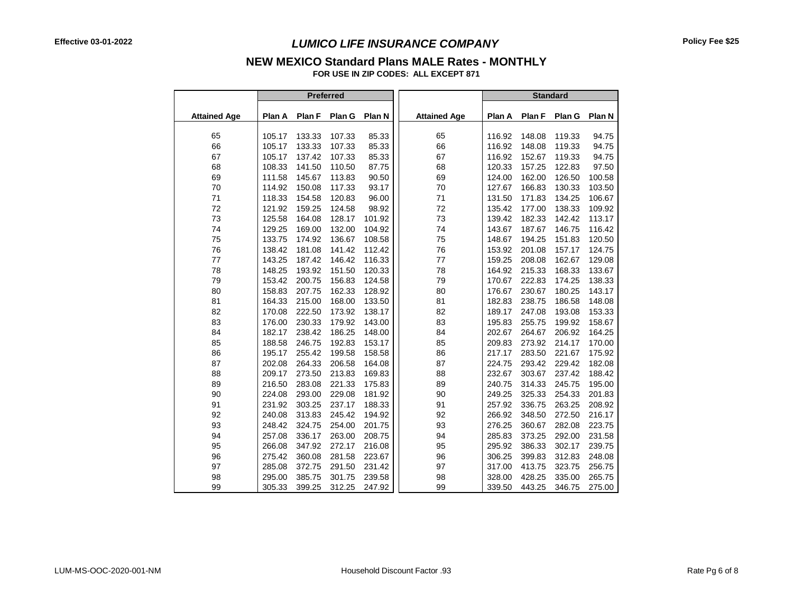#### **NEW MEXICO Standard Plans MALE Rates - MONTHLY**

**FOR USE IN ZIP CODES: ALL EXCEPT 871**

|                     |                  |                  | Preferred        |                  |                     |                  |                  | <b>Standard</b>  |                  |
|---------------------|------------------|------------------|------------------|------------------|---------------------|------------------|------------------|------------------|------------------|
| <b>Attained Age</b> | Plan A           | Plan F           | Plan G           | Plan N           | <b>Attained Age</b> | Plan A           | Plan F           | Plan G           | Plan N           |
| 65                  | 105.17           | 133.33           | 107.33           | 85.33            | 65                  | 116.92           | 148.08           | 119.33           | 94.75            |
| 66                  | 105.17           | 133.33           | 107.33           | 85.33            | 66                  | 116.92           | 148.08           | 119.33           | 94.75            |
| 67                  | 105.17           | 137.42           | 107.33           | 85.33            | 67                  | 116.92           | 152.67           | 119.33           | 94.75            |
| 68                  | 108.33           | 141.50           | 110.50           | 87.75            | 68                  | 120.33           | 157.25           | 122.83           | 97.50            |
| 69                  | 111.58           | 145.67           | 113.83           | 90.50            | 69                  | 124.00           | 162.00           | 126.50           | 100.58           |
| 70                  | 114.92           | 150.08           | 117.33           | 93.17            | 70                  | 127.67           | 166.83           | 130.33           | 103.50           |
| 71                  | 118.33           | 154.58           | 120.83           | 96.00            | 71                  | 131.50           | 171.83           | 134.25           | 106.67           |
| 72                  | 121.92           | 159.25           | 124.58           | 98.92            | 72                  | 135.42           | 177.00           | 138.33           | 109.92           |
| 73                  | 125.58           | 164.08           | 128.17           | 101.92           | 73                  | 139.42           | 182.33           | 142.42           | 113.17           |
| 74                  | 129.25           | 169.00           | 132.00           | 104.92           | 74                  | 143.67           | 187.67           | 146.75           | 116.42           |
|                     | 133.75           | 174.92           | 136.67           | 108.58           |                     | 148.67           | 194.25           | 151.83           | 120.50           |
| 75                  | 138.42           | 181.08           | 141.42           | 112.42           | 75                  | 153.92           | 201.08           | 157.17           |                  |
| 76                  | 143.25           | 187.42           | 146.42           |                  | 76<br>77            |                  |                  | 162.67           | 124.75           |
| 77<br>78            | 148.25           | 193.92           | 151.50           | 116.33<br>120.33 |                     | 159.25<br>164.92 | 208.08<br>215.33 | 168.33           | 129.08           |
|                     | 153.42           |                  |                  |                  | 78                  | 170.67           |                  |                  | 133.67           |
| 79                  | 158.83           | 200.75<br>207.75 | 156.83<br>162.33 | 124.58           | 79                  | 176.67           | 222.83<br>230.67 | 174.25<br>180.25 | 138.33           |
| 80                  |                  |                  |                  | 128.92           | 80                  |                  |                  |                  | 143.17           |
| 81                  | 164.33<br>170.08 | 215.00<br>222.50 | 168.00<br>173.92 | 133.50<br>138.17 | 81                  | 182.83<br>189.17 | 238.75<br>247.08 | 186.58<br>193.08 | 148.08<br>153.33 |
| 82                  |                  |                  |                  |                  | 82                  |                  |                  |                  |                  |
| 83                  | 176.00           | 230.33           | 179.92           | 143.00           | 83                  | 195.83           | 255.75           | 199.92           | 158.67           |
| 84                  | 182.17           | 238.42           | 186.25           | 148.00           | 84                  | 202.67           | 264.67           | 206.92           | 164.25           |
| 85                  | 188.58           | 246.75           | 192.83           | 153.17           | 85                  | 209.83           | 273.92           | 214.17           | 170.00           |
| 86                  | 195.17           | 255.42           | 199.58           | 158.58           | 86                  | 217.17           | 283.50           | 221.67           | 175.92           |
| 87                  | 202.08           | 264.33           | 206.58           | 164.08           | 87                  | 224.75           | 293.42           | 229.42           | 182.08           |
| 88                  | 209.17           | 273.50           | 213.83           | 169.83           | 88                  | 232.67           | 303.67           | 237.42           | 188.42           |
| 89                  | 216.50           | 283.08           | 221.33           | 175.83           | 89                  | 240.75           | 314.33           | 245.75           | 195.00           |
| 90                  | 224.08           | 293.00           | 229.08           | 181.92           | 90                  | 249.25           | 325.33           | 254.33           | 201.83           |
| 91                  | 231.92           | 303.25           | 237.17           | 188.33           | 91                  | 257.92           | 336.75           | 263.25           | 208.92           |
| 92                  | 240.08           | 313.83           | 245.42           | 194.92           | 92                  | 266.92           | 348.50           | 272.50           | 216.17           |
| 93                  | 248.42           | 324.75           | 254.00           | 201.75           | 93                  | 276.25           | 360.67           | 282.08           | 223.75           |
| 94                  | 257.08           | 336.17           | 263.00           | 208.75           | 94                  | 285.83           | 373.25           | 292.00           | 231.58           |
| 95                  | 266.08           | 347.92           | 272.17           | 216.08           | 95                  | 295.92           | 386.33           | 302.17           | 239.75           |
| 96                  | 275.42           | 360.08           | 281.58           | 223.67           | 96                  | 306.25           | 399.83           | 312.83           | 248.08           |
| 97                  | 285.08           | 372.75           | 291.50           | 231.42           | 97                  | 317.00           | 413.75           | 323.75           | 256.75           |
| 98                  | 295.00           | 385.75           | 301.75           | 239.58           | 98                  | 328.00           | 428.25           | 335.00           | 265.75           |
| 99                  | 305.33           | 399.25           | 312.25           | 247.92           | 99                  | 339.50           | 443.25           | 346.75           | 275.00           |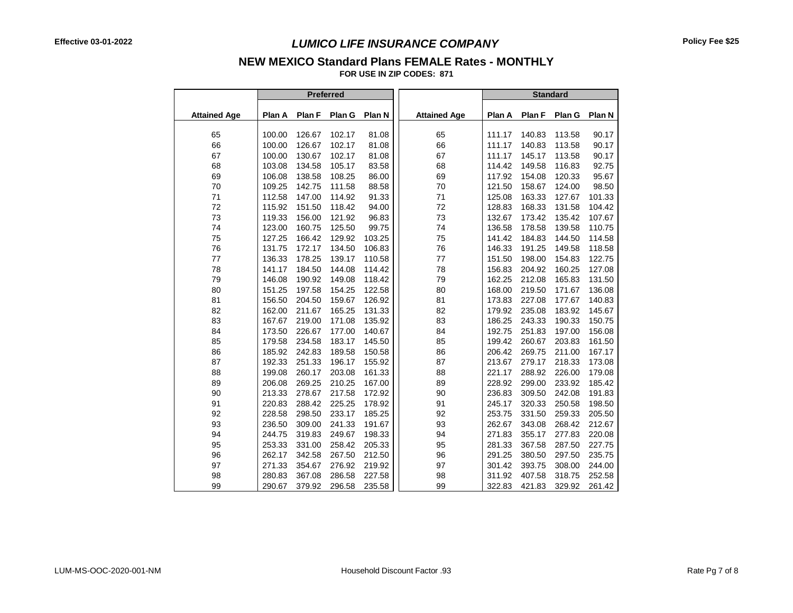# **NEW MEXICO Standard Plans FEMALE Rates - MONTHLY**

**FOR USE IN ZIP CODES: 871** - -

|                     |        |        | Preferred |        |                     | <b>Standard</b> |        |        |        |
|---------------------|--------|--------|-----------|--------|---------------------|-----------------|--------|--------|--------|
| <b>Attained Age</b> | Plan A | Plan F | Plan G    | Plan N | <b>Attained Age</b> | Plan A          | Plan F | Plan G | Plan N |
| 65                  | 100.00 | 126.67 | 102.17    | 81.08  | 65                  | 111.17          | 140.83 | 113.58 | 90.17  |
| 66                  | 100.00 | 126.67 | 102.17    | 81.08  | 66                  | 111.17          | 140.83 | 113.58 | 90.17  |
| 67                  | 100.00 | 130.67 | 102.17    | 81.08  | 67                  | 111.17          | 145.17 | 113.58 | 90.17  |
| 68                  | 103.08 | 134.58 | 105.17    | 83.58  | 68                  | 114.42          | 149.58 | 116.83 | 92.75  |
| 69                  | 106.08 | 138.58 | 108.25    | 86.00  | 69                  | 117.92          | 154.08 | 120.33 | 95.67  |
| 70                  | 109.25 | 142.75 | 111.58    | 88.58  | 70                  | 121.50          | 158.67 | 124.00 | 98.50  |
| 71                  | 112.58 | 147.00 | 114.92    | 91.33  | 71                  | 125.08          | 163.33 | 127.67 | 101.33 |
| 72                  | 115.92 | 151.50 | 118.42    | 94.00  | 72                  | 128.83          | 168.33 | 131.58 | 104.42 |
| 73                  | 119.33 | 156.00 | 121.92    | 96.83  | 73                  | 132.67          | 173.42 | 135.42 | 107.67 |
| 74                  | 123.00 | 160.75 | 125.50    | 99.75  | 74                  | 136.58          | 178.58 | 139.58 | 110.75 |
| 75                  | 127.25 | 166.42 | 129.92    | 103.25 | 75                  | 141.42          | 184.83 | 144.50 | 114.58 |
| 76                  | 131.75 | 172.17 | 134.50    | 106.83 | 76                  | 146.33          | 191.25 | 149.58 | 118.58 |
| 77                  | 136.33 | 178.25 | 139.17    | 110.58 | 77                  | 151.50          | 198.00 | 154.83 | 122.75 |
| 78                  | 141.17 | 184.50 | 144.08    | 114.42 | 78                  | 156.83          | 204.92 | 160.25 | 127.08 |
| 79                  | 146.08 | 190.92 | 149.08    | 118.42 | 79                  | 162.25          | 212.08 | 165.83 | 131.50 |
| 80                  | 151.25 | 197.58 | 154.25    | 122.58 | 80                  | 168.00          | 219.50 | 171.67 | 136.08 |
| 81                  | 156.50 | 204.50 | 159.67    | 126.92 | 81                  | 173.83          | 227.08 | 177.67 | 140.83 |
| 82                  | 162.00 | 211.67 | 165.25    | 131.33 | 82                  | 179.92          | 235.08 | 183.92 | 145.67 |
| 83                  | 167.67 | 219.00 | 171.08    | 135.92 | 83                  | 186.25          | 243.33 | 190.33 | 150.75 |
| 84                  | 173.50 | 226.67 | 177.00    | 140.67 | 84                  | 192.75          | 251.83 | 197.00 | 156.08 |
| 85                  | 179.58 | 234.58 | 183.17    | 145.50 | 85                  | 199.42          | 260.67 | 203.83 | 161.50 |
| 86                  | 185.92 | 242.83 | 189.58    | 150.58 | 86                  | 206.42          | 269.75 | 211.00 | 167.17 |
| 87                  | 192.33 | 251.33 | 196.17    | 155.92 | 87                  | 213.67          | 279.17 | 218.33 | 173.08 |
| 88                  | 199.08 | 260.17 | 203.08    | 161.33 | 88                  | 221.17          | 288.92 | 226.00 | 179.08 |
| 89                  | 206.08 | 269.25 | 210.25    | 167.00 | 89                  | 228.92          | 299.00 | 233.92 | 185.42 |
| 90                  | 213.33 | 278.67 | 217.58    | 172.92 | 90                  | 236.83          | 309.50 | 242.08 | 191.83 |
| 91                  | 220.83 | 288.42 | 225.25    | 178.92 | 91                  | 245.17          | 320.33 | 250.58 | 198.50 |
| 92                  | 228.58 | 298.50 | 233.17    | 185.25 | 92                  | 253.75          | 331.50 | 259.33 | 205.50 |
| 93                  | 236.50 | 309.00 | 241.33    | 191.67 | 93                  | 262.67          | 343.08 | 268.42 | 212.67 |
| 94                  | 244.75 | 319.83 | 249.67    | 198.33 | 94                  | 271.83          | 355.17 | 277.83 | 220.08 |
| 95                  | 253.33 | 331.00 | 258.42    | 205.33 | 95                  | 281.33          | 367.58 | 287.50 | 227.75 |
| 96                  | 262.17 | 342.58 | 267.50    | 212.50 | 96                  | 291.25          | 380.50 | 297.50 | 235.75 |
| 97                  | 271.33 | 354.67 | 276.92    | 219.92 | 97                  | 301.42          | 393.75 | 308.00 | 244.00 |
| 98                  | 280.83 | 367.08 | 286.58    | 227.58 | 98                  | 311.92          | 407.58 | 318.75 | 252.58 |
| 99                  | 290.67 | 379.92 | 296.58    | 235.58 | 99                  | 322.83          | 421.83 | 329.92 | 261.42 |